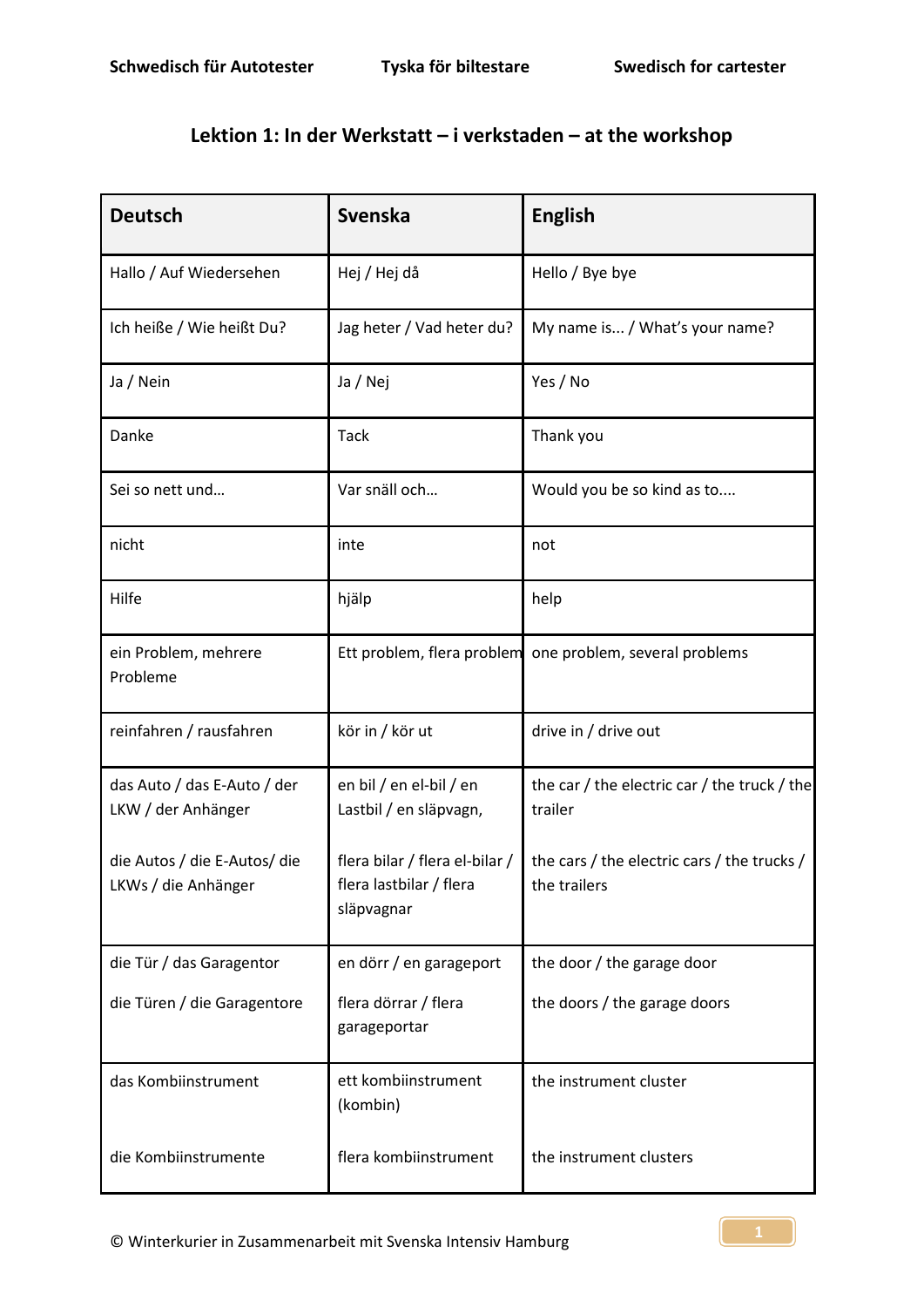## **Lektion 1: In der Werkstatt – i verkstaden – at the workshop**

| <b>Deutsch</b>                                      | <b>Svenska</b>                                                          | <b>English</b>                                              |
|-----------------------------------------------------|-------------------------------------------------------------------------|-------------------------------------------------------------|
| Hallo / Auf Wiedersehen                             | Hej / Hej då                                                            | Hello / Bye bye                                             |
| Ich heiße / Wie heißt Du?                           | Jag heter / Vad heter du?                                               | My name is / What's your name?                              |
| Ja / Nein                                           | Ja / Nej                                                                | Yes / No                                                    |
| Danke                                               | <b>Tack</b>                                                             | Thank you                                                   |
| Sei so nett und                                     | Var snäll och                                                           | Would you be so kind as to                                  |
| nicht                                               | inte                                                                    | not                                                         |
| Hilfe                                               | hjälp                                                                   | help                                                        |
| ein Problem, mehrere<br>Probleme                    | Ett problem, flera problem                                              | one problem, several problems                               |
| reinfahren / rausfahren                             | kör in / kör ut                                                         | drive in / drive out                                        |
| das Auto / das E-Auto / der<br>LKW / der Anhänger   | en bil / en el-bil / en<br>Lastbil / en släpvagn,                       | the car / the electric car / the truck / the<br>trailer     |
| die Autos / die E-Autos/ die<br>LKWs / die Anhänger | flera bilar / flera el-bilar /<br>flera lastbilar / flera<br>släpvagnar | the cars / the electric cars / the trucks /<br>the trailers |
| die Tür / das Garagentor                            | en dörr / en garageport                                                 | the door / the garage door                                  |
| die Türen / die Garagentore                         | flera dörrar / flera<br>garageportar                                    | the doors / the garage doors                                |
| das Kombiinstrument                                 | ett kombiinstrument<br>(kombin)                                         | the instrument cluster                                      |
| die Kombiinstrumente                                | flera kombiinstrument                                                   | the instrument clusters                                     |

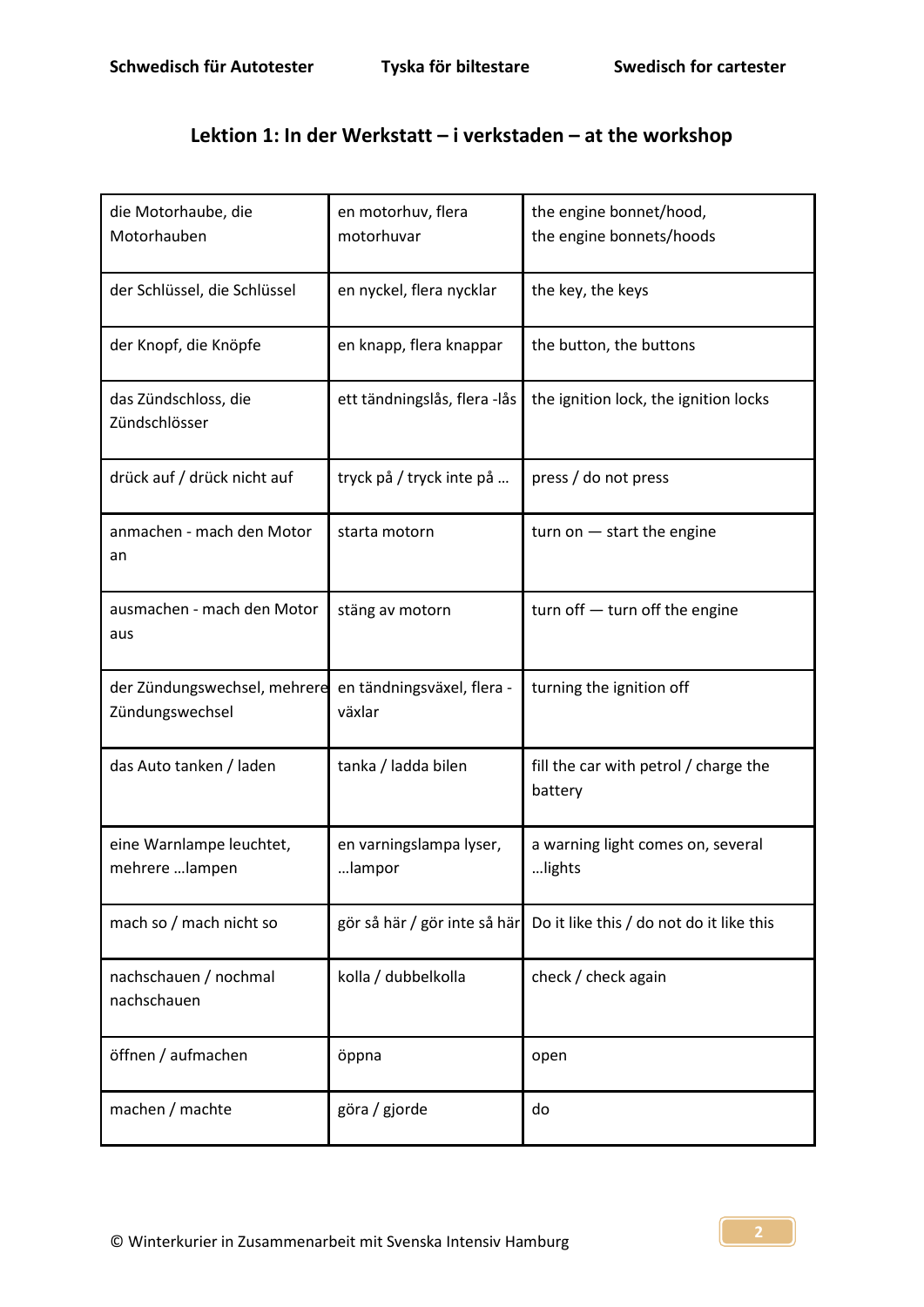## **Lektion 1: In der Werkstatt – i verkstaden – at the workshop**

| die Motorhaube, die<br>Motorhauben         | en motorhuv, flera<br>motorhuvar  | the engine bonnet/hood,<br>the engine bonnets/hoods |
|--------------------------------------------|-----------------------------------|-----------------------------------------------------|
| der Schlüssel, die Schlüssel               | en nyckel, flera nycklar          | the key, the keys                                   |
| der Knopf, die Knöpfe                      | en knapp, flera knappar           | the button, the buttons                             |
| das Zündschloss, die<br>Zündschlösser      | ett tändningslås, flera -lås      | the ignition lock, the ignition locks               |
| drück auf / drück nicht auf                | tryck på / tryck inte på          | press / do not press                                |
| anmachen - mach den Motor<br>an            | starta motorn                     | turn on $-$ start the engine                        |
| ausmachen - mach den Motor<br>aus          | stäng av motorn                   | turn off $-$ turn off the engine                    |
| der Zündungswechsel, mehrere               | en tändningsväxel, flera -        | turning the ignition off                            |
| Zündungswechsel                            | växlar                            |                                                     |
| das Auto tanken / laden                    | tanka / ladda bilen               | fill the car with petrol / charge the<br>battery    |
| eine Warnlampe leuchtet,<br>mehrere lampen | en varningslampa lyser,<br>lampor | a warning light comes on, several<br>lights         |
| mach so / mach nicht so                    | gör så här / gör inte så här      | Do it like this / do not do it like this            |
| nachschauen / nochmal<br>nachschauen       | kolla / dubbelkolla               | check / check again                                 |
| öffnen / aufmachen                         | öppna                             | open                                                |